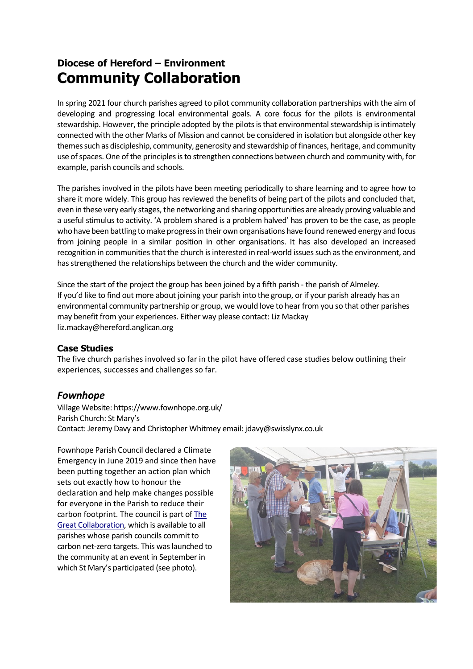# **Diocese of Hereford – Environment Community Collaboration**

In spring 2021 four church parishes agreed to pilot community collaboration partnerships with the aim of developing and progressing local environmental goals. A core focus for the pilots is environmental stewardship. However, the principle adopted by the pilots is that environmental stewardship is intimately connected with the other Marks of Mission and cannot be considered in isolation but alongside other key themes such as discipleship, community, generosity and stewardship of finances, heritage, and community use of spaces. One of the principles is to strengthen connections between church and community with, for example, parish councils and schools.

The parishes involved in the pilots have been meeting periodically to share learning and to agree how to share it more widely. This group has reviewed the benefits of being part of the pilots and concluded that, even in these very early stages, the networking and sharing opportunities are already proving valuable and a useful stimulus to activity. 'A problem shared is a problem halved' has proven to be the case, as people who have been battling to make progress in their own organisations have found renewed energy and focus from joining people in a similar position in other organisations. It has also developed an increased recognition in communities that the church is interested in real-world issues such as the environment, and has strengthened the relationships between the church and the wider community.

Since the start of the project the group has been joined by a fifth parish - the parish of Almeley. If you'd like to find out more about joining your parish into the group, or if your parish already has an environmental community partnership or group, we would love to hear from you so that other parishes may benefit from your experiences. Either way please contact: Liz Mackay liz.mackay@hereford.anglican.org

#### **Case Studies**

The five church parishes involved so far in the pilot have offered case studies below outlining their experiences, successes and challenges so far.

#### *Fownhope*

Village Website: https://www.fownhope.org.uk/ Parish Church: St Mary's Contact: Jeremy Davy and Christopher Whitmey email: jdavy@swisslynx.co.uk

Fownhope Parish Council declared a Climate Emergency in June 2019 and since then have been putting together an action plan which sets out exactly how to honour the declaration and help make changes possible for everyone in the Parish to reduce their carbon footprint. The council is part of The Great Collaboration, which is available to all parishes whose parish councils commit to carbon net-zero targets. This was launched to the community at an event in September in which St Mary's participated (see photo).

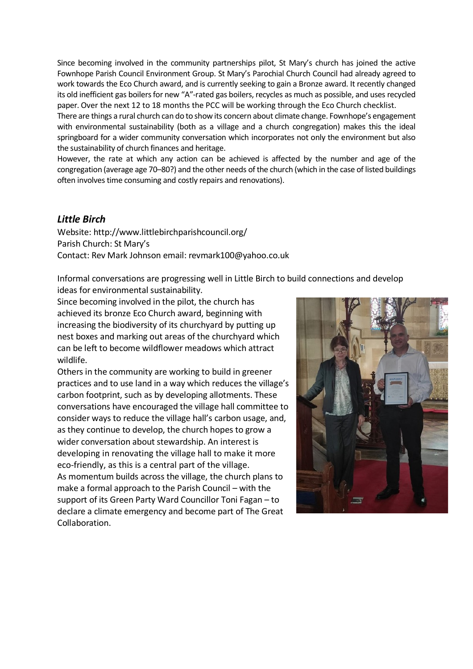Since becoming involved in the community partnerships pilot, St Mary's church has joined the active Fownhope Parish Council Environment Group. St Mary's Parochial Church Council had already agreed to work towards the Eco Church award, and is currently seeking to gain a Bronze award. It recently changed its old inefficient gas boilers for new "A"-rated gas boilers, recycles as much as possible, and uses recycled paper. Over the next 12 to 18 months the PCC will be working through the Eco Church checklist.

There are things a rural church can do to show its concern about climate change. Fownhope's engagement with environmental sustainability (both as a village and a church congregation) makes this the ideal springboard for a wider community conversation which incorporates not only the environment but also the sustainability of church finances and heritage.

However, the rate at which any action can be achieved is affected by the number and age of the congregation (average age 70–80?) and the other needs of the church (which in the case of listed buildings often involves time consuming and costly repairs and renovations).

# *Little Birch*

Website: http://www.littlebirchparishcouncil.org/ Parish Church: St Mary's Contact: Rev Mark Johnson email: revmark100@yahoo.co.uk

Informal conversations are progressing well in Little Birch to build connections and develop ideas for environmental sustainability.

Since becoming involved in the pilot, the church has achieved its bronze Eco Church award, beginning with increasing the biodiversity of its churchyard by putting up nest boxes and marking out areas of the churchyard which can be left to become wildflower meadows which attract wildlife.

Others in the community are working to build in greener practices and to use land in a way which reduces the village's carbon footprint, such as by developing allotments. These conversations have encouraged the village hall committee to consider ways to reduce the village hall's carbon usage, and, as they continue to develop, the church hopes to grow a wider conversation about stewardship. An interest is developing in renovating the village hall to make it more eco-friendly, as this is a central part of the village. As momentum builds across the village, the church plans to make a formal approach to the Parish Council – with the support of its Green Party Ward Councillor Toni Fagan – to declare a climate emergency and become part of The Great Collaboration.

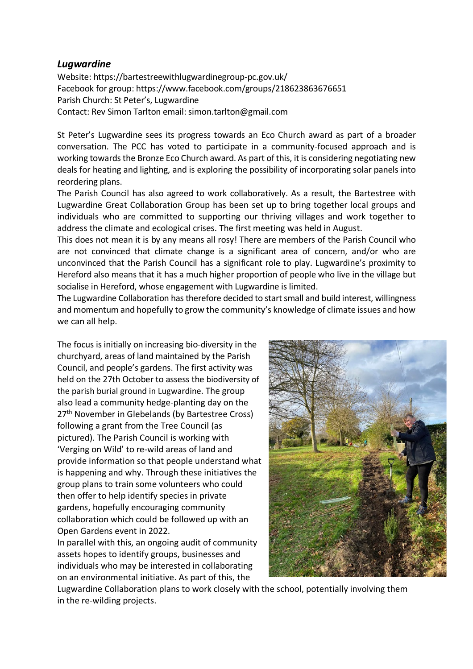#### *Lugwardine*

Website: https://bartestreewithlugwardinegroup-pc.gov.uk/ Facebook for group: https://www.facebook.com/groups/218623863676651 Parish Church: St Peter's, Lugwardine Contact: Rev Simon Tarlton email: simon.tarlton@gmail.com

St Peter's Lugwardine sees its progress towards an Eco Church award as part of a broader conversation. The PCC has voted to participate in a community-focused approach and is working towards the Bronze Eco Church award. As part of this, it is considering negotiating new deals for heating and lighting, and is exploring the possibility of incorporating solar panels into reordering plans.

The Parish Council has also agreed to work collaboratively. As a result, the Bartestree with Lugwardine Great Collaboration Group has been set up to bring together local groups and individuals who are committed to supporting our thriving villages and work together to address the climate and ecological crises. The first meeting was held in August.

This does not mean it is by any means all rosy! There are members of the Parish Council who are not convinced that climate change is a significant area of concern, and/or who are unconvinced that the Parish Council has a significant role to play. Lugwardine's proximity to Hereford also means that it has a much higher proportion of people who live in the village but socialise in Hereford, whose engagement with Lugwardine is limited.

The Lugwardine Collaboration has therefore decided to start small and build interest, willingness and momentum and hopefully to grow the community's knowledge of climate issues and how we can all help.

The focus is initially on increasing bio-diversity in the churchyard, areas of land maintained by the Parish Council, and people's gardens. The first activity was held on the 27th October to assess the biodiversity of the parish burial ground in Lugwardine. The group also lead a community hedge-planting day on the 27<sup>th</sup> November in Glebelands (by Bartestree Cross) following a grant from the Tree Council (as pictured). The Parish Council is working with 'Verging on Wild' to re-wild areas of land and provide information so that people understand what is happening and why. Through these initiatives the group plans to train some volunteers who could then offer to help identify species in private gardens, hopefully encouraging community collaboration which could be followed up with an Open Gardens event in 2022.

In parallel with this, an ongoing audit of community assets hopes to identify groups, businesses and individuals who may be interested in collaborating on an environmental initiative. As part of this, the



Lugwardine Collaboration plans to work closely with the school, potentially involving them in the re-wilding projects.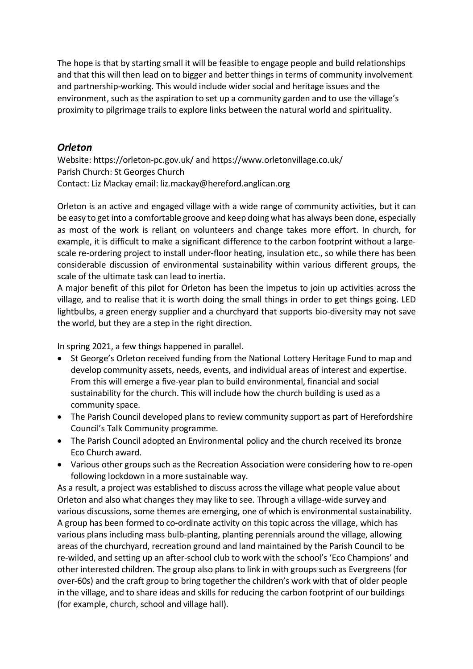The hope is that by starting small it will be feasible to engage people and build relationships and that this will then lead on to bigger and better things in terms of community involvement and partnership-working. This would include wider social and heritage issues and the environment, such as the aspiration to set up a community garden and to use the village's proximity to pilgrimage trails to explore links between the natural world and spirituality.

# *Orleton*

Website: https://orleton-pc.gov.uk/ and https://www.orletonvillage.co.uk/ Parish Church: St Georges Church Contact: Liz Mackay email: liz.mackay@hereford.anglican.org

Orleton is an active and engaged village with a wide range of community activities, but it can be easy to get into a comfortable groove and keep doing what has always been done, especially as most of the work is reliant on volunteers and change takes more effort. In church, for example, it is difficult to make a significant difference to the carbon footprint without a largescale re-ordering project to install under-floor heating, insulation etc., so while there has been considerable discussion of environmental sustainability within various different groups, the scale of the ultimate task can lead to inertia.

A major benefit of this pilot for Orleton has been the impetus to join up activities across the village, and to realise that it is worth doing the small things in order to get things going. LED lightbulbs, a green energy supplier and a churchyard that supports bio-diversity may not save the world, but they are a step in the right direction.

In spring 2021, a few things happened in parallel.

- St George's Orleton received funding from the National Lottery Heritage Fund to map and develop community assets, needs, events, and individual areas of interest and expertise. From this will emerge a five-year plan to build environmental, financial and social sustainability for the church. This will include how the church building is used as a community space.
- The Parish Council developed plans to review community support as part of Herefordshire Council's Talk Community programme.
- The Parish Council adopted an Environmental policy and the church received its bronze Eco Church award.
- Various other groups such as the Recreation Association were considering how to re-open following lockdown in a more sustainable way.

As a result, a project was established to discuss across the village what people value about Orleton and also what changes they may like to see. Through a village-wide survey and various discussions, some themes are emerging, one of which is environmental sustainability. A group has been formed to co-ordinate activity on this topic across the village, which has various plans including mass bulb-planting, planting perennials around the village, allowing areas of the churchyard, recreation ground and land maintained by the Parish Council to be re-wilded, and setting up an after-school club to work with the school's 'Eco Champions' and other interested children. The group also plans to link in with groups such as Evergreens (for over-60s) and the craft group to bring together the children's work with that of older people in the village, and to share ideas and skills for reducing the carbon footprint of our buildings (for example, church, school and village hall).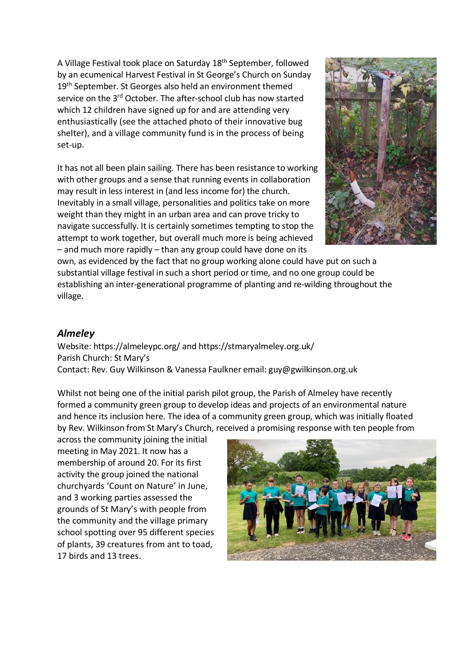A Village Festival took place on Saturday 18th September, followed by an ecumenical Harvest Festival in St George's Church on Sunday 19<sup>th</sup> September. St Georges also held an environment themed service on the 3<sup>rd</sup> October. The after-school club has now started which 12 children have signed up for and are attending very enthusiastically (see the attached photo of their innovative bug shelter), and a village community fund is in the process of being set-up.

It has not all been plain sailing. There has been resistance to working with other groups and a sense that running events in collaboration may result in less interest in (and less income for) the church. Inevitably in a small village, personalities and politics take on more weight than they might in an urban area and can prove tricky to navigate successfully. It is certainly sometimes tempting to stop the attempt to work together, but overall much more is being achieved – and much more rapidly – than any group could have done on its



own, as evidenced by the fact that no group working alone could have put on such a substantial village festival in such a short period or time, and no one group could be establishing an inter-generational programme of planting and re-wilding throughout the village.

# *Almeley*

Website: https://almeleypc.org/ and https://stmaryalmeley.org.uk/ Parish Church: St Mary's Contact: Rev. Guy Wilkinson & Vanessa Faulkner email: guy@gwilkinson.org.uk

Whilst not being one of the initial parish pilot group, the Parish of Almeley have recently formed a community green group to develop ideas and projects of an environmental nature and hence its inclusion here. The idea of a community green group, which was initially floated by Rev. Wilkinson from St Mary's Church, received a promising response with ten people from

across the community joining the initial meeting in May 2021. It now has a membership of around 20. For its first activity the group joined the national churchyards 'Count on Nature' in June, and 3 working parties assessed the grounds of St Mary's with people from the community and the village primary school spotting over 95 different species of plants, 39 creatures from ant to toad, 17 birds and 13 trees.